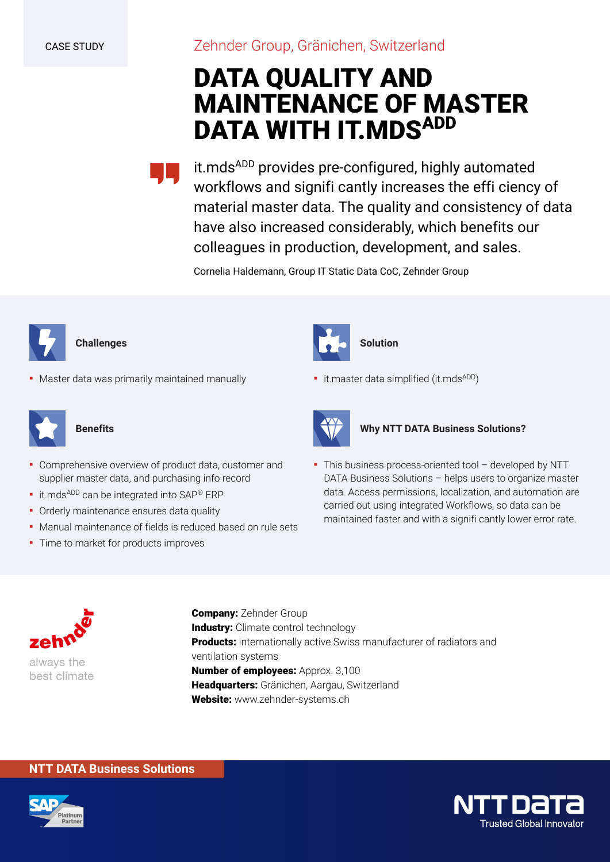### Zehnder Group, Gränichen, Switzerland

## **DATA QUALITY AND MAINTENANCE OF MASTER DATA WITH IT.MDSADD**

it.mds<sup>ADD</sup> provides pre-configured, highly automated workflows and signifi cantly increases the effi ciency of material master data. The quality and consistency of data have also increased considerably, which benefits our colleagues in production, development, and sales.

Cornelia Haldemann, Group IT Static Data CoC, Zehnder Group



#### **Challenges**

**• Master data was primarily maintained manually** 



#### **Benefits**

- Comprehensive overview of product data, customer and supplier master data, and purchasing info record
- **·** it.mds<sup>ADD</sup> can be integrated into SAP® ERP
- Orderly maintenance ensures data quality
- Manual maintenance of fields is reduced based on rule sets
- **·** Time to market for products improves



#### **Solution**

**·** it.master data simplified (it.mds<sup>ADD</sup>)



#### **Why NTT DATA Business Solutions?**

▪ This business process-oriented tool – developed by NTT DATA Business Solutions – helps users to organize master data. Access permissions, localization, and automation are carried out using integrated Workflows, so data can be maintained faster and with a signifi cantly lower error rate.



**Company:** Zehnder Group **Industry:** Climate control technology **Products:** internationally active Swiss manufacturer of radiators and ventilation systems **Number of employees:** Approx. 3,100 **Headquarters:** Gränichen, Aargau, Switzerland **Website:** www.zehnder-systems.ch

#### **NTT DATA Business Solutions**